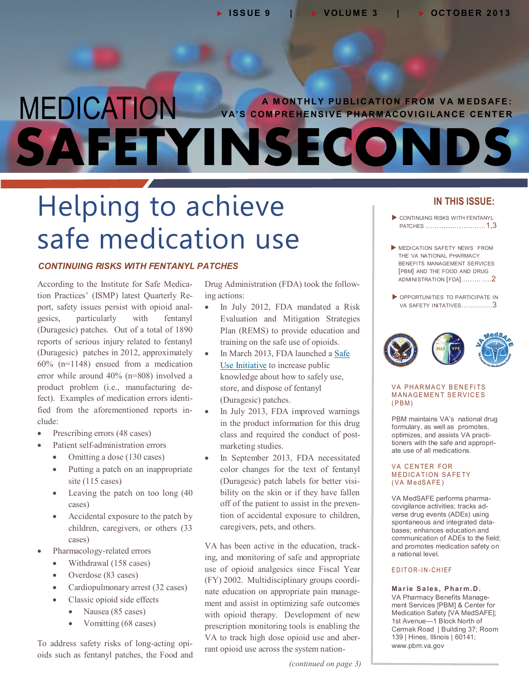## MEDICATION **SAFETYINSECONDS A MONTHLY PUBLICATION FROM VA MEDSAFE: VA'S COMPREHENSIVE PHARMACOVIGILANCE CENTER**

## Helping to achieve safe medication use

#### *CONTINUING RISKS WITH FENTANYL PATCHES*

- According to the Institute for Safe Medica - tion Practices' (ISMP) latest Quarterly Re - port, safety issues persist with opioid anal - product problem (i.e., manufacturing de fect). Examples of medication errors identified from the aforementioned reports ingesics, particularly with fentanyl (Duragesic) patches. Out of a total of 1890 reports of serious injury related to fentanyl (Duragesic) patches in 2012, approximately 60% (n=1148) ensued from a medication error while around 40% (n=808) involved a clude:

- Prescribing errors (48 cases)
- Patient self-administration errors
	- Omitting a dose (130 cases)
	- Putting a patch on an inappropriate site (115 cases)
	- Leaving the patch on too long (40 cases)
	- Accidental exposure to the patch by children, caregivers, or others (33 cases)
- Pharmacology-related errors
	- Withdrawal (158 cases)
	- Overdose (83 cases)
	- Cardiopulmonary arrest (32 cases)
	- Classic opioid side effects
		- Nausea (85 cases)
		- Vomitting (68 cases)

- To address safety risks of long-acting opi oids such as fentanyl patches, the Food and

- Drug Administration (FDA) took the follow ing actions:

- In July 2012, FDA mandated a Risk Evaluation and Mitigation Strategies Plan (REMS) to provide education and training on the safe use of opioids.
- In March 2013, FDA launched a [Safe](http://www.fda.gov/Drugs/DrugSafety/SafeUseInitiative/ucm188762.htm#fentanyl)  [Use Initiative](http://www.fda.gov/Drugs/DrugSafety/SafeUseInitiative/ucm188762.htm#fentanyl) to increase public knowledge about how to safely use, store, and dispose of fentanyl (Duragesic) patches.
- In July 2013, FDA improved warnings in the product information for this drug class and required the conduct of postmarketing studies.
- (Duragesic) patch labels for better visi-- off of the patient to assist in the preven In September 2013, FDA necessitated color changes for the text of fentanyl bility on the skin or if they have fallen tion of accidental exposure to children, caregivers, pets, and others.

VA has been active in the education, track-- (FY) 2002. Multidisciplinary groups coordi - nate education on appropriate pain manage VA to track high dose opioid use and aberrant opioid use across the system nationing, and monitoring of safe and appropriate use of opioid analgesics since Fiscal Year ment and assist in optimizing safe outcomes with opioid therapy. Development of new prescription monitoring tools is enabling the

*(continued on page 3)*

#### **IN THIS ISSUE:**

- CONTINUING RISKS WITH FENTANYL PATCHES ………………………1,3
- MEDICATION SAFETY NEWS FROM THE VA NATIONAL PHARMACY BENEFITS MANAGEMENT SERVICES [PBM] AND THE FOOD AND DRUG [ADMINISTRATION \[FDA\]..……. ….2](#page-1-0)
- OPPORTUNITIES TO PARTICIPATE IN [VA SAFETY INITATIVES…………..3](#page-2-0)



#### VA PHARMACY BENEFITS **MANAGEMENT SERVICES**  $(PBM)$

- optimizes, and assists VA practi - tioners with the safe and appropri PBM maintains VA's national drug formulary, as well as promotes, ate use of all medications.

#### VA CENTER FOR **MEDICATION SAFETY** (VA MedSAFE)

- covigilance activities; tracks ad - spontaneous and integrated data VA MedSAFE performs pharmaverse drug events (ADEs) using bases; enhances education and communication of ADEs to the field; and promotes medication safety on a national level.

#### EDITOR-IN-CHIEF

- VA Pharmacy Benefits Manage **Ma r ie S a les, P har m. D .**  ment Services [PBM] & Center for Medication Safety [VA MedSAFE]; 1st Avenue—1 Block North of Cermak Road | Building 37; Room 139 | Hines, Illinois | 60141; www.pbm.va.gov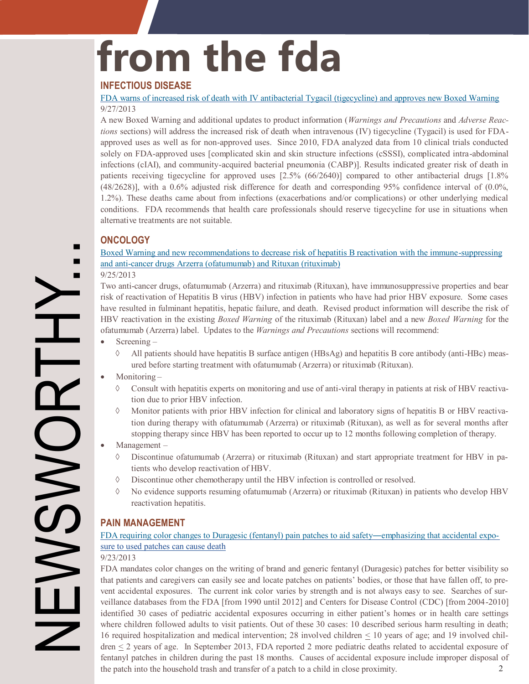# <span id="page-1-0"></span>**from the fda**

#### **INFECTIOUS DISEASE**

[FDA warns of increased risk of death with IV antibacterial Tygacil \(tigecycline\) and approves new Boxed Warning](http://www.fda.gov/Drugs/DrugSafety/ucm369580.htm) 9/27/2013

A new Boxed Warning and additional updates to product information (*Warnings and Precautions* and *Adverse Reac tions* sections) will address the increased risk of death when intravenous (IV) tigecycline (Tygacil) is used for FDAapproved uses as well as for non-approved uses. Since 2010, FDA analyzed data from 10 clinical trials conducted solely on FDA-approved uses [complicated skin and skin structure infections (cSSSI), complicated intra-abdominal infections (cIAI), and community-acquired bacterial pneumonia (CABP)]. Results indicated greater risk of death in patients receiving tigecycline for approved uses [2.5% (66/2640)] compared to other antibacterial drugs [1.8% (48/2628)], with a 0.6% adjusted risk difference for death and corresponding 95% confidence interval of (0.0%, 1.2%). These deaths came about from infections (exacerbations and/or complications) or other underlying medical conditions. FDA recommends that health care professionals should reserve tigecycline for use in situations when alternative treatments are not suitable.

#### **ONCOLOGY**

[Boxed Warning and new recommendations to decrease risk of hepatitis B reactivation with the immune](http://www.fda.gov/Drugs/DrugSafety/ucm366406.htm)-suppressing and anti-[cancer drugs Arzerra \(ofatumumab\) and Rituxan \(rituximab\)](http://www.fda.gov/Drugs/DrugSafety/ucm366406.htm)

#### 9/25/2013

Two anti-cancer drugs, ofatumumab (Arzerra) and rituximab (Rituxan), have immunosuppressive properties and bear risk of reactivation of Hepatitis B virus (HBV) infection in patients who have had prior HBV exposure. Some cases have resulted in fulminant hepatitis, hepatic failure, and death. Revised product information will describe the risk of HBV reactivation in the existing *Boxed Warning* of the rituximab (Rituxan) label and a new *Boxed Warning* for the ofatumumab (Arzerra) label. Updates to the *Warnings and Precautions* sections will recommend:

- Screening
	- All patients should have hepatitis B surface antigen (HBsAg) and hepatitis B core antibody (anti-HBc) meas ured before starting treatment with ofatumumab (Arzerra) or rituximab (Rituxan).
- Monitoring
	- Consult with hepatitis experts on monitoring and use of anti-viral therapy in patients at risk of HBV reactiva tion due to prior HBV infection.
	- $\Diamond$  Monitor patients with prior HBV infection for clinical and laboratory signs of hepatitis B or HBV reactivation during therapy with ofatumumab (Arzerra) or rituximab (Rituxan), as well as for several months after stopping therapy since HBV has been reported to occur up to 12 months following completion of therapy.
- Management
	- Discontinue ofatumumab (Arzerra) or rituximab (Rituxan) and start appropriate treatment for HBV in pa tients who develop reactivation of HBV.
	- Discontinue other chemotherapy until the HBV infection is controlled or resolved.
	- No evidence supports resuming ofatumumab (Arzerra) or rituximab (Rituxan) in patients who develop HBV reactivation hepatitis.

#### **PAIN MANAGEMENT**

#### FDA requiring color changes to Duragesic (fentanyl) pain patches to aid safety—emphasizing that accidental expo[sure to used patches can cause death](http://www.fda.gov/Drugs/DrugSafety/ucm368902.htm)

#### 9/23/2013

- that patients and caregivers can easily see and locate patches on patients' bodies, or those that have fallen off, to pre - vent accidental exposures. The current ink color varies by strength and is not always easy to see. Searches of sur 16 required hospitalization and medical intervention; 28 involved children  $\leq$  10 years of age; and 19 involved chil-FDA mandates color changes on the writing of brand and generic fentanyl (Duragesic) patches for better visibility so veillance databases from the FDA [from 1990 until 2012] and Centers for Disease Control (CDC) [from 2004-2010] identified 30 cases of pediatric accidental exposures occurring in either patient's homes or in health care settings where children followed adults to visit patients. Out of these 30 cases: 10 described serious harm resulting in death;  $d$ ren  $\leq$  2 years of age. In September 2013, FDA reported 2 more pediatric deaths related to accidental exposure of fentanyl patches in children during the past 18 months. Causes of accidental exposure include improper disposal of the patch into the household trash and transfer of a patch to a child in close proximity. 2